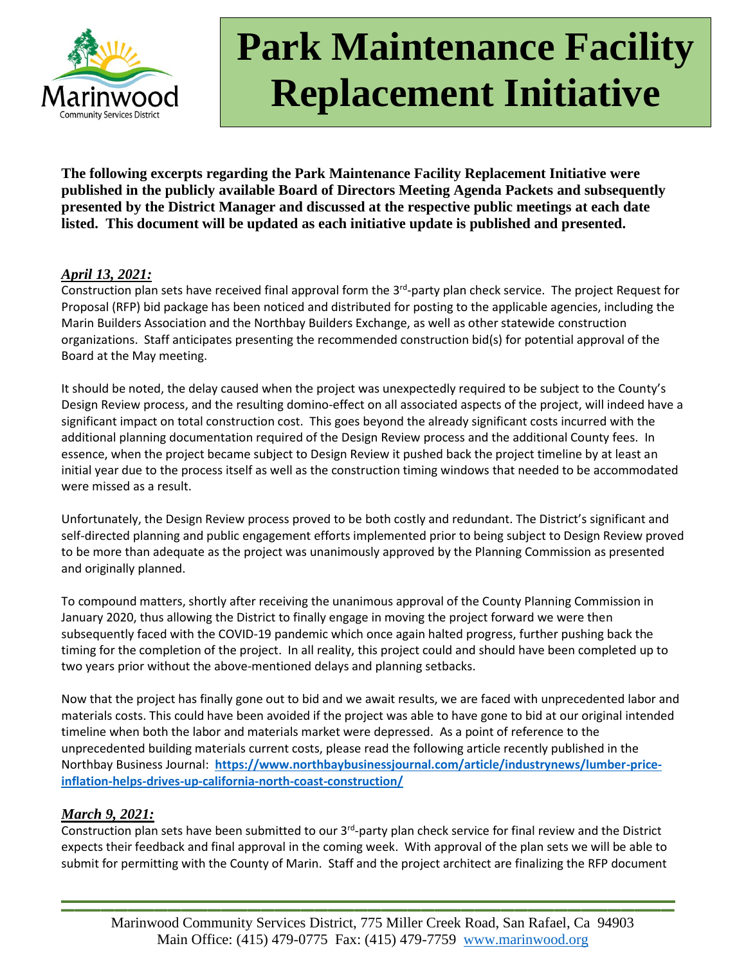

**The following excerpts regarding the Park Maintenance Facility Replacement Initiative were published in the publicly available Board of Directors Meeting Agenda Packets and subsequently presented by the District Manager and discussed at the respective public meetings at each date listed. This document will be updated as each initiative update is published and presented.**

### *April 13, 2021:*

Construction plan sets have received final approval form the 3<sup>rd</sup>-party plan check service. The project Request for Proposal (RFP) bid package has been noticed and distributed for posting to the applicable agencies, including the Marin Builders Association and the Northbay Builders Exchange, as well as other statewide construction organizations. Staff anticipates presenting the recommended construction bid(s) for potential approval of the Board at the May meeting.

It should be noted, the delay caused when the project was unexpectedly required to be subject to the County's Design Review process, and the resulting domino-effect on all associated aspects of the project, will indeed have a significant impact on total construction cost. This goes beyond the already significant costs incurred with the additional planning documentation required of the Design Review process and the additional County fees. In essence, when the project became subject to Design Review it pushed back the project timeline by at least an initial year due to the process itself as well as the construction timing windows that needed to be accommodated were missed as a result.

Unfortunately, the Design Review process proved to be both costly and redundant. The District's significant and self-directed planning and public engagement efforts implemented prior to being subject to Design Review proved to be more than adequate as the project was unanimously approved by the Planning Commission as presented and originally planned.

To compound matters, shortly after receiving the unanimous approval of the County Planning Commission in January 2020, thus allowing the District to finally engage in moving the project forward we were then subsequently faced with the COVID-19 pandemic which once again halted progress, further pushing back the timing for the completion of the project. In all reality, this project could and should have been completed up to two years prior without the above-mentioned delays and planning setbacks.

Now that the project has finally gone out to bid and we await results, we are faced with unprecedented labor and materials costs. This could have been avoided if the project was able to have gone to bid at our original intended timeline when both the labor and materials market were depressed. As a point of reference to the unprecedented building materials current costs, please read the following article recently published in the Northbay Business Journal: **[https://www.northbaybusinessjournal.com/article/industrynews/lumber-price](https://www.northbaybusinessjournal.com/article/industrynews/lumber-price-inflation-helps-drives-up-california-north-coast-construction/)[inflation-helps-drives-up-california-north-coast-construction/](https://www.northbaybusinessjournal.com/article/industrynews/lumber-price-inflation-helps-drives-up-california-north-coast-construction/)**

### *March 9, 2021:*

Construction plan sets have been submitted to our 3<sup>rd</sup>-party plan check service for final review and the District expects their feedback and final approval in the coming week. With approval of the plan sets we will be able to submit for permitting with the County of Marin. Staff and the project architect are finalizing the RFP document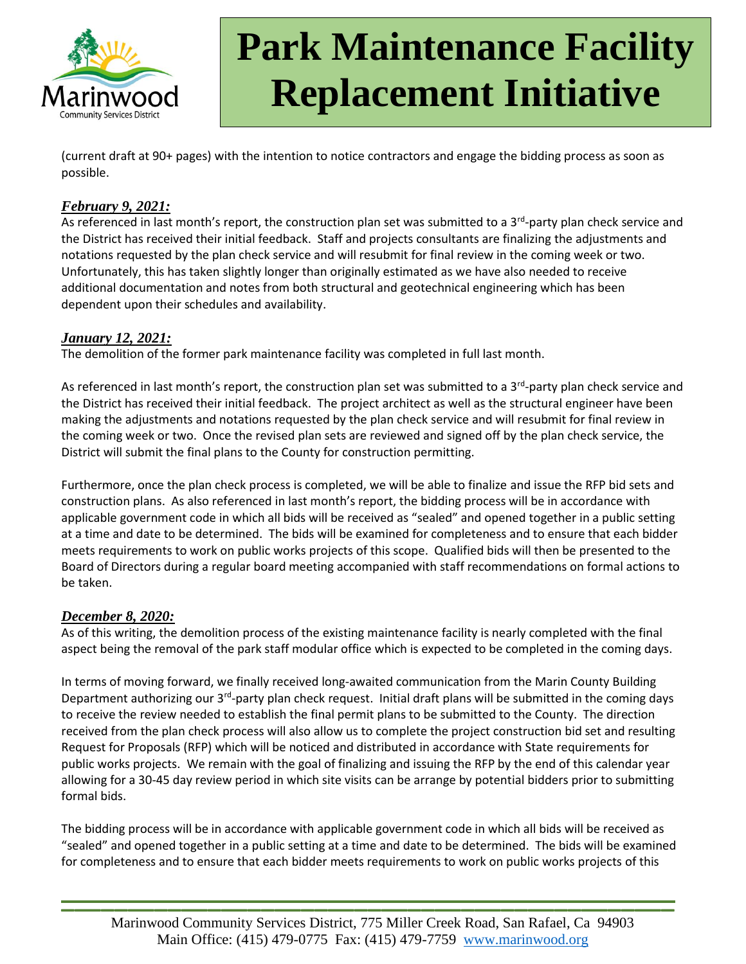

(current draft at 90+ pages) with the intention to notice contractors and engage the bidding process as soon as possible.

#### *February 9, 2021:*

As referenced in last month's report, the construction plan set was submitted to a 3<sup>rd</sup>-party plan check service and the District has received their initial feedback. Staff and projects consultants are finalizing the adjustments and notations requested by the plan check service and will resubmit for final review in the coming week or two. Unfortunately, this has taken slightly longer than originally estimated as we have also needed to receive additional documentation and notes from both structural and geotechnical engineering which has been dependent upon their schedules and availability.

### *January 12, 2021:*

The demolition of the former park maintenance facility was completed in full last month.

As referenced in last month's report, the construction plan set was submitted to a 3<sup>rd</sup>-party plan check service and the District has received their initial feedback. The project architect as well as the structural engineer have been making the adjustments and notations requested by the plan check service and will resubmit for final review in the coming week or two. Once the revised plan sets are reviewed and signed off by the plan check service, the District will submit the final plans to the County for construction permitting.

Furthermore, once the plan check process is completed, we will be able to finalize and issue the RFP bid sets and construction plans. As also referenced in last month's report, the bidding process will be in accordance with applicable government code in which all bids will be received as "sealed" and opened together in a public setting at a time and date to be determined. The bids will be examined for completeness and to ensure that each bidder meets requirements to work on public works projects of this scope. Qualified bids will then be presented to the Board of Directors during a regular board meeting accompanied with staff recommendations on formal actions to be taken.

#### *December 8, 2020:*

As of this writing, the demolition process of the existing maintenance facility is nearly completed with the final aspect being the removal of the park staff modular office which is expected to be completed in the coming days.

In terms of moving forward, we finally received long-awaited communication from the Marin County Building Department authorizing our 3<sup>rd</sup>-party plan check request. Initial draft plans will be submitted in the coming days to receive the review needed to establish the final permit plans to be submitted to the County. The direction received from the plan check process will also allow us to complete the project construction bid set and resulting Request for Proposals (RFP) which will be noticed and distributed in accordance with State requirements for public works projects. We remain with the goal of finalizing and issuing the RFP by the end of this calendar year allowing for a 30-45 day review period in which site visits can be arrange by potential bidders prior to submitting formal bids.

The bidding process will be in accordance with applicable government code in which all bids will be received as "sealed" and opened together in a public setting at a time and date to be determined. The bids will be examined for completeness and to ensure that each bidder meets requirements to work on public works projects of this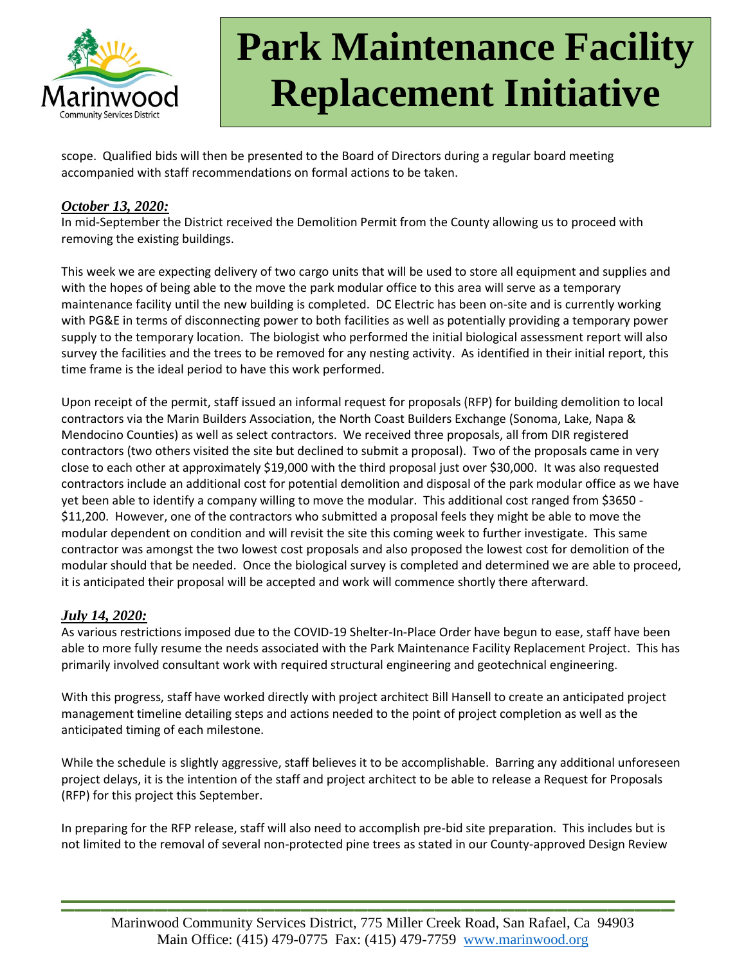

scope. Qualified bids will then be presented to the Board of Directors during a regular board meeting accompanied with staff recommendations on formal actions to be taken.

#### *October 13, 2020:*

In mid-September the District received the Demolition Permit from the County allowing us to proceed with removing the existing buildings.

This week we are expecting delivery of two cargo units that will be used to store all equipment and supplies and with the hopes of being able to the move the park modular office to this area will serve as a temporary maintenance facility until the new building is completed. DC Electric has been on-site and is currently working with PG&E in terms of disconnecting power to both facilities as well as potentially providing a temporary power supply to the temporary location. The biologist who performed the initial biological assessment report will also survey the facilities and the trees to be removed for any nesting activity. As identified in their initial report, this time frame is the ideal period to have this work performed.

Upon receipt of the permit, staff issued an informal request for proposals (RFP) for building demolition to local contractors via the Marin Builders Association, the North Coast Builders Exchange (Sonoma, Lake, Napa & Mendocino Counties) as well as select contractors. We received three proposals, all from DIR registered contractors (two others visited the site but declined to submit a proposal). Two of the proposals came in very close to each other at approximately \$19,000 with the third proposal just over \$30,000. It was also requested contractors include an additional cost for potential demolition and disposal of the park modular office as we have yet been able to identify a company willing to move the modular. This additional cost ranged from \$3650 - \$11,200. However, one of the contractors who submitted a proposal feels they might be able to move the modular dependent on condition and will revisit the site this coming week to further investigate. This same contractor was amongst the two lowest cost proposals and also proposed the lowest cost for demolition of the modular should that be needed. Once the biological survey is completed and determined we are able to proceed, it is anticipated their proposal will be accepted and work will commence shortly there afterward.

### *July 14, 2020:*

As various restrictions imposed due to the COVID-19 Shelter-In-Place Order have begun to ease, staff have been able to more fully resume the needs associated with the Park Maintenance Facility Replacement Project. This has primarily involved consultant work with required structural engineering and geotechnical engineering.

With this progress, staff have worked directly with project architect Bill Hansell to create an anticipated project management timeline detailing steps and actions needed to the point of project completion as well as the anticipated timing of each milestone.

While the schedule is slightly aggressive, staff believes it to be accomplishable. Barring any additional unforeseen project delays, it is the intention of the staff and project architect to be able to release a Request for Proposals (RFP) for this project this September.

In preparing for the RFP release, staff will also need to accomplish pre-bid site preparation. This includes but is not limited to the removal of several non-protected pine trees as stated in our County-approved Design Review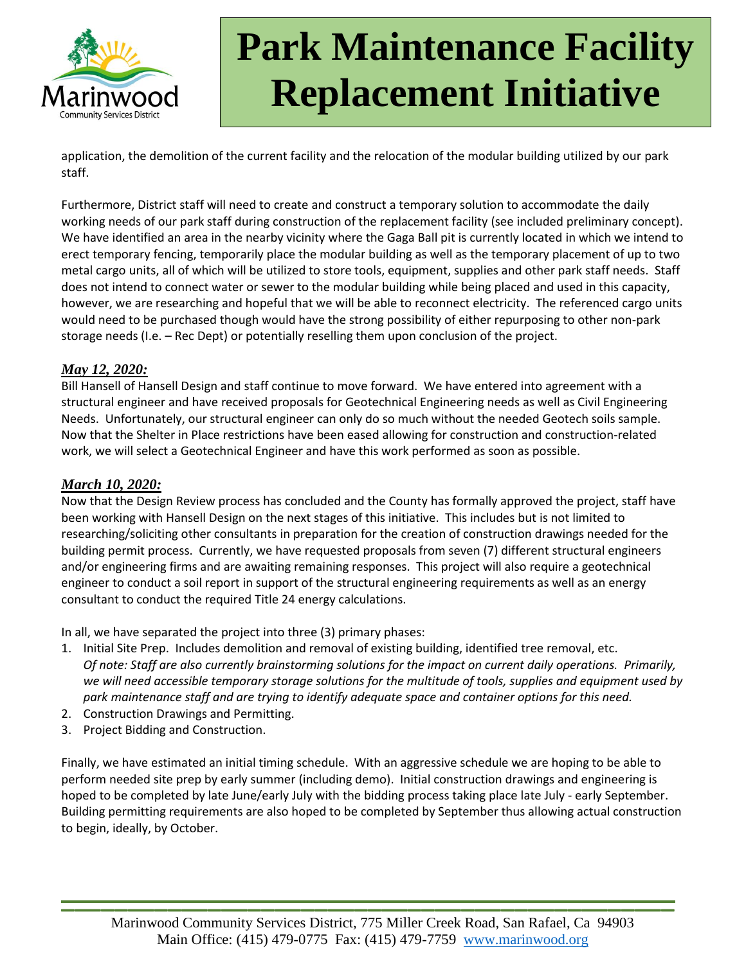

application, the demolition of the current facility and the relocation of the modular building utilized by our park staff.

Furthermore, District staff will need to create and construct a temporary solution to accommodate the daily working needs of our park staff during construction of the replacement facility (see included preliminary concept). We have identified an area in the nearby vicinity where the Gaga Ball pit is currently located in which we intend to erect temporary fencing, temporarily place the modular building as well as the temporary placement of up to two metal cargo units, all of which will be utilized to store tools, equipment, supplies and other park staff needs. Staff does not intend to connect water or sewer to the modular building while being placed and used in this capacity, however, we are researching and hopeful that we will be able to reconnect electricity. The referenced cargo units would need to be purchased though would have the strong possibility of either repurposing to other non-park storage needs (I.e. – Rec Dept) or potentially reselling them upon conclusion of the project.

#### *May 12, 2020:*

Bill Hansell of Hansell Design and staff continue to move forward. We have entered into agreement with a structural engineer and have received proposals for Geotechnical Engineering needs as well as Civil Engineering Needs. Unfortunately, our structural engineer can only do so much without the needed Geotech soils sample. Now that the Shelter in Place restrictions have been eased allowing for construction and construction-related work, we will select a Geotechnical Engineer and have this work performed as soon as possible.

#### *March 10, 2020:*

Now that the Design Review process has concluded and the County has formally approved the project, staff have been working with Hansell Design on the next stages of this initiative. This includes but is not limited to researching/soliciting other consultants in preparation for the creation of construction drawings needed for the building permit process. Currently, we have requested proposals from seven (7) different structural engineers and/or engineering firms and are awaiting remaining responses. This project will also require a geotechnical engineer to conduct a soil report in support of the structural engineering requirements as well as an energy consultant to conduct the required Title 24 energy calculations.

In all, we have separated the project into three (3) primary phases:

- 1. Initial Site Prep. Includes demolition and removal of existing building, identified tree removal, etc. *Of note: Staff are also currently brainstorming solutions for the impact on current daily operations. Primarily, we will need accessible temporary storage solutions for the multitude of tools, supplies and equipment used by park maintenance staff and are trying to identify adequate space and container options for this need.*
- 2. Construction Drawings and Permitting.
- 3. Project Bidding and Construction.

Finally, we have estimated an initial timing schedule. With an aggressive schedule we are hoping to be able to perform needed site prep by early summer (including demo). Initial construction drawings and engineering is hoped to be completed by late June/early July with the bidding process taking place late July - early September. Building permitting requirements are also hoped to be completed by September thus allowing actual construction to begin, ideally, by October.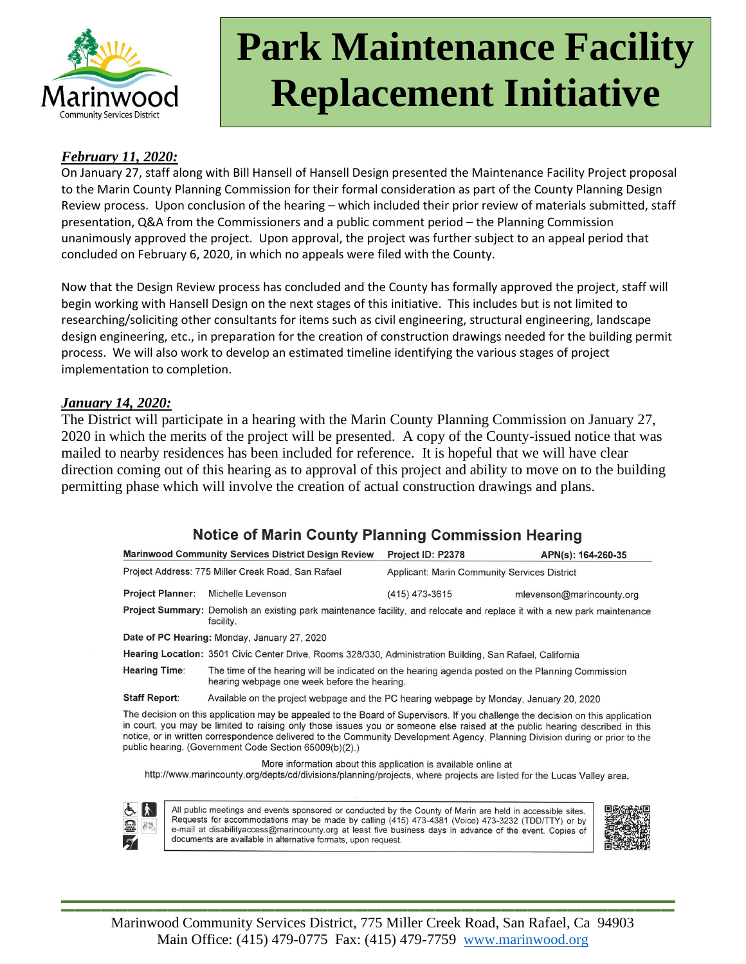

#### *February 11, 2020:*

On January 27, staff along with Bill Hansell of Hansell Design presented the Maintenance Facility Project proposal to the Marin County Planning Commission for their formal consideration as part of the County Planning Design Review process. Upon conclusion of the hearing – which included their prior review of materials submitted, staff presentation, Q&A from the Commissioners and a public comment period – the Planning Commission unanimously approved the project. Upon approval, the project was further subject to an appeal period that concluded on February 6, 2020, in which no appeals were filed with the County.

Now that the Design Review process has concluded and the County has formally approved the project, staff will begin working with Hansell Design on the next stages of this initiative. This includes but is not limited to researching/soliciting other consultants for items such as civil engineering, structural engineering, landscape design engineering, etc., in preparation for the creation of construction drawings needed for the building permit process. We will also work to develop an estimated timeline identifying the various stages of project implementation to completion.

#### *January 14, 2020:*

The District will participate in a hearing with the Marin County Planning Commission on January 27, 2020 in which the merits of the project will be presented. A copy of the County-issued notice that was mailed to nearby residences has been included for reference. It is hopeful that we will have clear direction coming out of this hearing as to approval of this project and ability to move on to the building permitting phase which will involve the creation of actual construction drawings and plans.

## **Notice of Marin County Planning Commission Hearing**

|                                                    | <b>Marinwood Community Services District Design Review</b>                                                                                                                                                                                                                                                                                                                                                                                                | Project ID: P2378                                   | APN(s): 164-260-35        |
|----------------------------------------------------|-----------------------------------------------------------------------------------------------------------------------------------------------------------------------------------------------------------------------------------------------------------------------------------------------------------------------------------------------------------------------------------------------------------------------------------------------------------|-----------------------------------------------------|---------------------------|
| Project Address: 775 Miller Creek Road, San Rafael |                                                                                                                                                                                                                                                                                                                                                                                                                                                           | <b>Applicant: Marin Community Services District</b> |                           |
| <b>Project Planner:</b>                            | Michelle Levenson                                                                                                                                                                                                                                                                                                                                                                                                                                         | (415) 473-3615                                      | mlevenson@marincounty.org |
|                                                    | Project Summary: Demolish an existing park maintenance facility, and relocate and replace it with a new park maintenance<br>facility.                                                                                                                                                                                                                                                                                                                     |                                                     |                           |
|                                                    | Date of PC Hearing: Monday, January 27, 2020                                                                                                                                                                                                                                                                                                                                                                                                              |                                                     |                           |
|                                                    | Hearing Location: 3501 Civic Center Drive, Rooms 328/330, Administration Building, San Rafael, California                                                                                                                                                                                                                                                                                                                                                 |                                                     |                           |
| <b>Hearing Time:</b>                               | The time of the hearing will be indicated on the hearing agenda posted on the Planning Commission<br>hearing webpage one week before the hearing.                                                                                                                                                                                                                                                                                                         |                                                     |                           |
| <b>Staff Report:</b>                               | Available on the project webpage and the PC hearing webpage by Monday, January 20, 2020                                                                                                                                                                                                                                                                                                                                                                   |                                                     |                           |
|                                                    | The decision on this application may be appealed to the Board of Supervisors. If you challenge the decision on this application<br>in court, you may be limited to raising only those issues you or someone else raised at the public hearing described in this<br>notice, or in written correspondence delivered to the Community Development Agency, Planning Division during or prior to the<br>public hearing. (Government Code Section 65009(b)(2).) |                                                     |                           |
|                                                    | More information about this application is available online at<br>http://www.marincounty.org/depts/cd/divisions/planning/projects, where projects are listed for the Lucas Valley area.                                                                                                                                                                                                                                                                   |                                                     |                           |
|                                                    |                                                                                                                                                                                                                                                                                                                                                                                                                                                           |                                                     |                           |
| とん<br>霊<br>8g<br>$\mathcal{Z}$                     | All public meetings and events sponsored or conducted by the County of Marin are held in accessible sites.<br>Requests for accommodations may be made by calling (415) 473-4381 (Voice) 473-3232 (TDD/TTY) or by<br>e-mail at disabilityaccess@marincounty.org at least five business days in advance of the event. Copies of<br>documents are available in alternative formats, upon request.                                                            |                                                     |                           |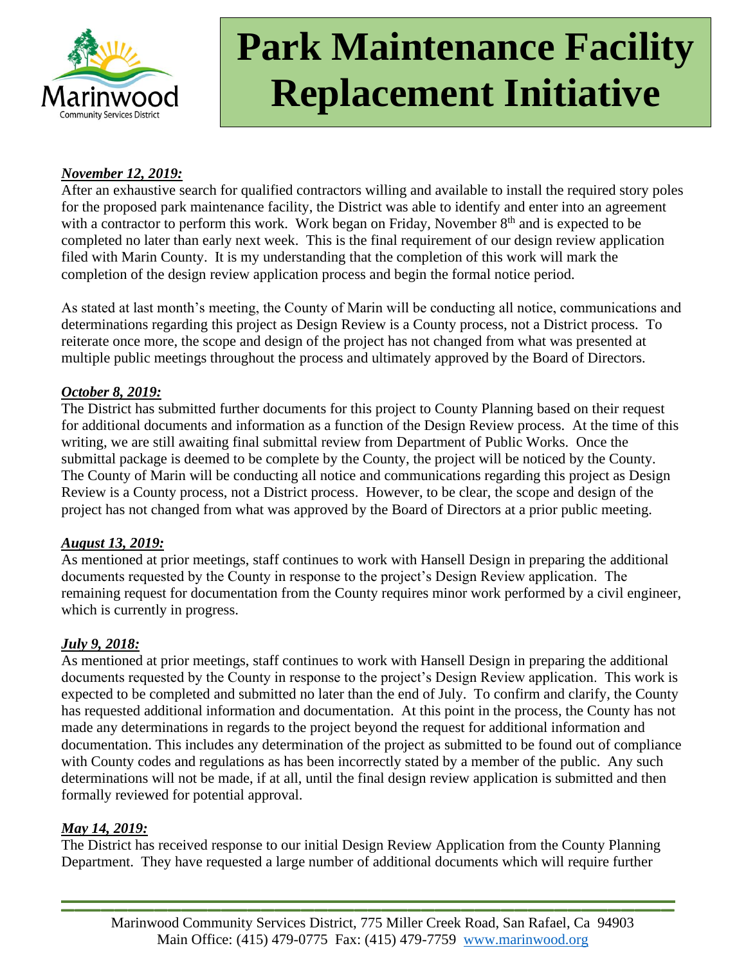

### *November 12, 2019:*

After an exhaustive search for qualified contractors willing and available to install the required story poles for the proposed park maintenance facility, the District was able to identify and enter into an agreement with a contractor to perform this work. Work began on Friday, November  $8<sup>th</sup>$  and is expected to be completed no later than early next week. This is the final requirement of our design review application filed with Marin County. It is my understanding that the completion of this work will mark the completion of the design review application process and begin the formal notice period.

As stated at last month's meeting, the County of Marin will be conducting all notice, communications and determinations regarding this project as Design Review is a County process, not a District process. To reiterate once more, the scope and design of the project has not changed from what was presented at multiple public meetings throughout the process and ultimately approved by the Board of Directors.

#### *October 8, 2019:*

The District has submitted further documents for this project to County Planning based on their request for additional documents and information as a function of the Design Review process. At the time of this writing, we are still awaiting final submittal review from Department of Public Works. Once the submittal package is deemed to be complete by the County, the project will be noticed by the County. The County of Marin will be conducting all notice and communications regarding this project as Design Review is a County process, not a District process. However, to be clear, the scope and design of the project has not changed from what was approved by the Board of Directors at a prior public meeting.

### *August 13, 2019:*

As mentioned at prior meetings, staff continues to work with Hansell Design in preparing the additional documents requested by the County in response to the project's Design Review application. The remaining request for documentation from the County requires minor work performed by a civil engineer, which is currently in progress.

### *July 9, 2018:*

As mentioned at prior meetings, staff continues to work with Hansell Design in preparing the additional documents requested by the County in response to the project's Design Review application. This work is expected to be completed and submitted no later than the end of July. To confirm and clarify, the County has requested additional information and documentation. At this point in the process, the County has not made any determinations in regards to the project beyond the request for additional information and documentation. This includes any determination of the project as submitted to be found out of compliance with County codes and regulations as has been incorrectly stated by a member of the public. Any such determinations will not be made, if at all, until the final design review application is submitted and then formally reviewed for potential approval.

### *May 14, 2019:*

The District has received response to our initial Design Review Application from the County Planning Department. They have requested a large number of additional documents which will require further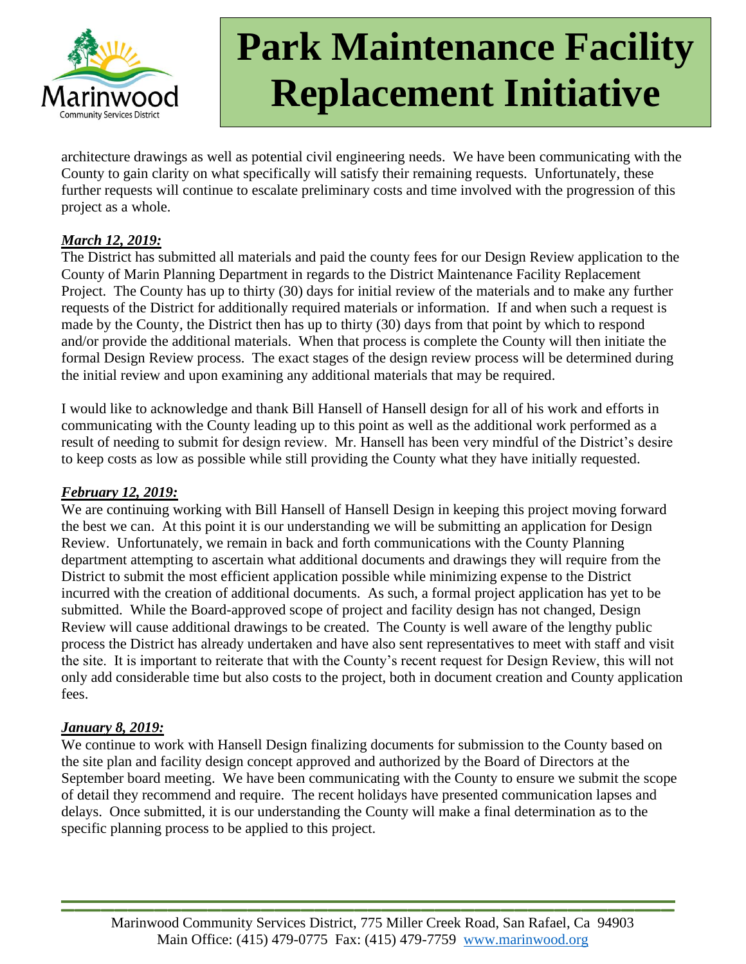

architecture drawings as well as potential civil engineering needs. We have been communicating with the County to gain clarity on what specifically will satisfy their remaining requests. Unfortunately, these further requests will continue to escalate preliminary costs and time involved with the progression of this project as a whole.

### *March 12, 2019:*

The District has submitted all materials and paid the county fees for our Design Review application to the County of Marin Planning Department in regards to the District Maintenance Facility Replacement Project. The County has up to thirty (30) days for initial review of the materials and to make any further requests of the District for additionally required materials or information. If and when such a request is made by the County, the District then has up to thirty (30) days from that point by which to respond and/or provide the additional materials. When that process is complete the County will then initiate the formal Design Review process. The exact stages of the design review process will be determined during the initial review and upon examining any additional materials that may be required.

I would like to acknowledge and thank Bill Hansell of Hansell design for all of his work and efforts in communicating with the County leading up to this point as well as the additional work performed as a result of needing to submit for design review. Mr. Hansell has been very mindful of the District's desire to keep costs as low as possible while still providing the County what they have initially requested.

### *February 12, 2019:*

We are continuing working with Bill Hansell of Hansell Design in keeping this project moving forward the best we can. At this point it is our understanding we will be submitting an application for Design Review. Unfortunately, we remain in back and forth communications with the County Planning department attempting to ascertain what additional documents and drawings they will require from the District to submit the most efficient application possible while minimizing expense to the District incurred with the creation of additional documents. As such, a formal project application has yet to be submitted. While the Board-approved scope of project and facility design has not changed, Design Review will cause additional drawings to be created. The County is well aware of the lengthy public process the District has already undertaken and have also sent representatives to meet with staff and visit the site. It is important to reiterate that with the County's recent request for Design Review, this will not only add considerable time but also costs to the project, both in document creation and County application fees.

### *January 8, 2019:*

We continue to work with Hansell Design finalizing documents for submission to the County based on the site plan and facility design concept approved and authorized by the Board of Directors at the September board meeting. We have been communicating with the County to ensure we submit the scope of detail they recommend and require. The recent holidays have presented communication lapses and delays. Once submitted, it is our understanding the County will make a final determination as to the specific planning process to be applied to this project.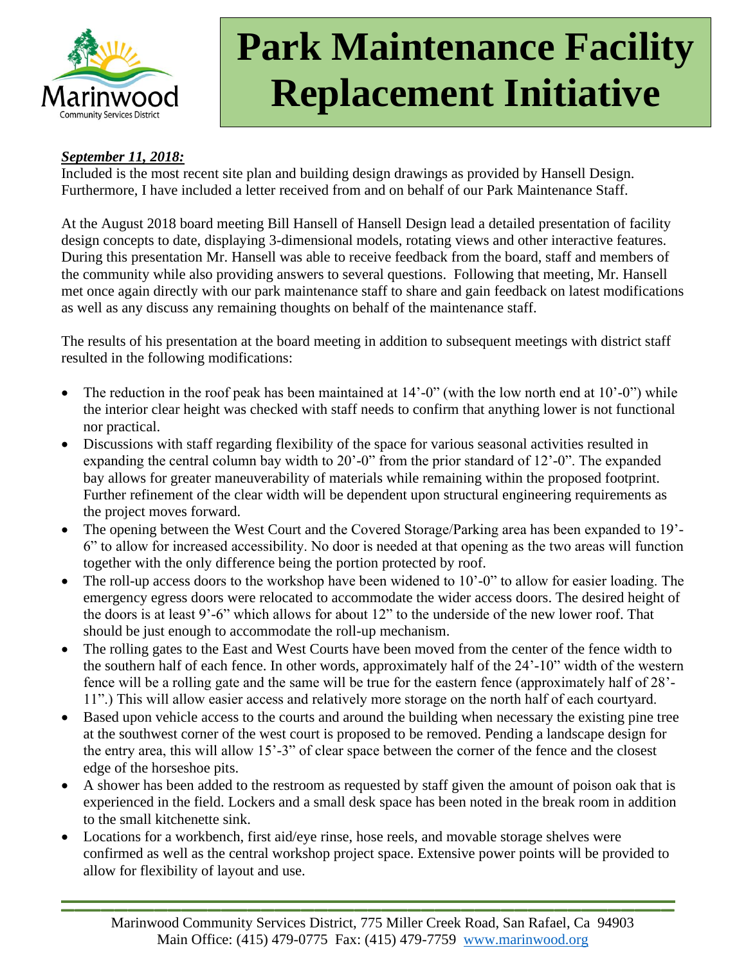

## *September 11, 2018:*

Included is the most recent site plan and building design drawings as provided by Hansell Design. Furthermore, I have included a letter received from and on behalf of our Park Maintenance Staff.

At the August 2018 board meeting Bill Hansell of Hansell Design lead a detailed presentation of facility design concepts to date, displaying 3-dimensional models, rotating views and other interactive features. During this presentation Mr. Hansell was able to receive feedback from the board, staff and members of the community while also providing answers to several questions. Following that meeting, Mr. Hansell met once again directly with our park maintenance staff to share and gain feedback on latest modifications as well as any discuss any remaining thoughts on behalf of the maintenance staff.

The results of his presentation at the board meeting in addition to subsequent meetings with district staff resulted in the following modifications:

- The reduction in the roof peak has been maintained at 14'-0" (with the low north end at 10'-0") while the interior clear height was checked with staff needs to confirm that anything lower is not functional nor practical.
- Discussions with staff regarding flexibility of the space for various seasonal activities resulted in expanding the central column bay width to 20'-0" from the prior standard of 12'-0". The expanded bay allows for greater maneuverability of materials while remaining within the proposed footprint. Further refinement of the clear width will be dependent upon structural engineering requirements as the project moves forward.
- The opening between the West Court and the Covered Storage/Parking area has been expanded to 19'- 6" to allow for increased accessibility. No door is needed at that opening as the two areas will function together with the only difference being the portion protected by roof.
- The roll-up access doors to the workshop have been widened to  $10^{\circ}$ -0" to allow for easier loading. The emergency egress doors were relocated to accommodate the wider access doors. The desired height of the doors is at least 9'-6" which allows for about 12" to the underside of the new lower roof. That should be just enough to accommodate the roll-up mechanism.
- The rolling gates to the East and West Courts have been moved from the center of the fence width to the southern half of each fence. In other words, approximately half of the 24'-10" width of the western fence will be a rolling gate and the same will be true for the eastern fence (approximately half of 28'- 11".) This will allow easier access and relatively more storage on the north half of each courtyard.
- Based upon vehicle access to the courts and around the building when necessary the existing pine tree at the southwest corner of the west court is proposed to be removed. Pending a landscape design for the entry area, this will allow 15'-3" of clear space between the corner of the fence and the closest edge of the horseshoe pits.
- A shower has been added to the restroom as requested by staff given the amount of poison oak that is experienced in the field. Lockers and a small desk space has been noted in the break room in addition to the small kitchenette sink.
- Locations for a workbench, first aid/eye rinse, hose reels, and movable storage shelves were confirmed as well as the central workshop project space. Extensive power points will be provided to allow for flexibility of layout and use.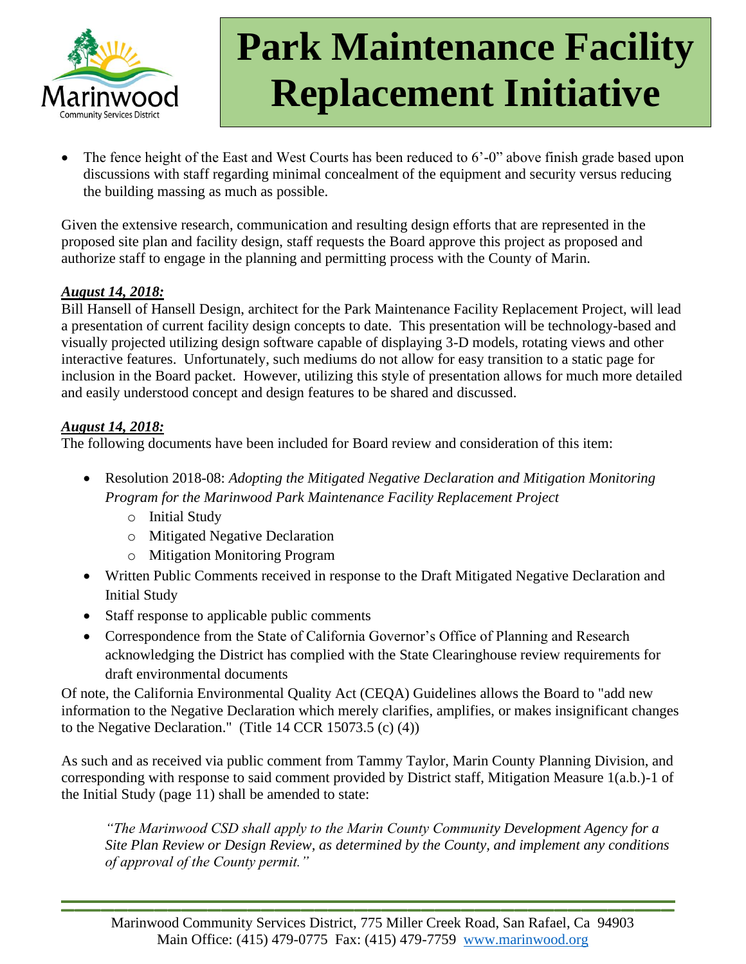

The fence height of the East and West Courts has been reduced to 6'-0" above finish grade based upon discussions with staff regarding minimal concealment of the equipment and security versus reducing the building massing as much as possible.

Given the extensive research, communication and resulting design efforts that are represented in the proposed site plan and facility design, staff requests the Board approve this project as proposed and authorize staff to engage in the planning and permitting process with the County of Marin.

### *August 14, 2018:*

Bill Hansell of Hansell Design, architect for the Park Maintenance Facility Replacement Project, will lead a presentation of current facility design concepts to date. This presentation will be technology-based and visually projected utilizing design software capable of displaying 3-D models, rotating views and other interactive features. Unfortunately, such mediums do not allow for easy transition to a static page for inclusion in the Board packet. However, utilizing this style of presentation allows for much more detailed and easily understood concept and design features to be shared and discussed.

### *August 14, 2018:*

The following documents have been included for Board review and consideration of this item:

- Resolution 2018-08: *Adopting the Mitigated Negative Declaration and Mitigation Monitoring Program for the Marinwood Park Maintenance Facility Replacement Project*
	- o Initial Study
	- o Mitigated Negative Declaration
	- o Mitigation Monitoring Program
- Written Public Comments received in response to the Draft Mitigated Negative Declaration and Initial Study
- Staff response to applicable public comments
- Correspondence from the State of California Governor's Office of Planning and Research acknowledging the District has complied with the State Clearinghouse review requirements for draft environmental documents

Of note, the California Environmental Quality Act (CEQA) Guidelines allows the Board to "add new information to the Negative Declaration which merely clarifies, amplifies, or makes insignificant changes to the Negative Declaration." (Title 14 CCR 15073.5 (c) (4))

As such and as received via public comment from Tammy Taylor, Marin County Planning Division, and corresponding with response to said comment provided by District staff, Mitigation Measure 1(a.b.)-1 of the Initial Study (page 11) shall be amended to state:

*"The Marinwood CSD shall apply to the Marin County Community Development Agency for a Site Plan Review or Design Review, as determined by the County, and implement any conditions of approval of the County permit."*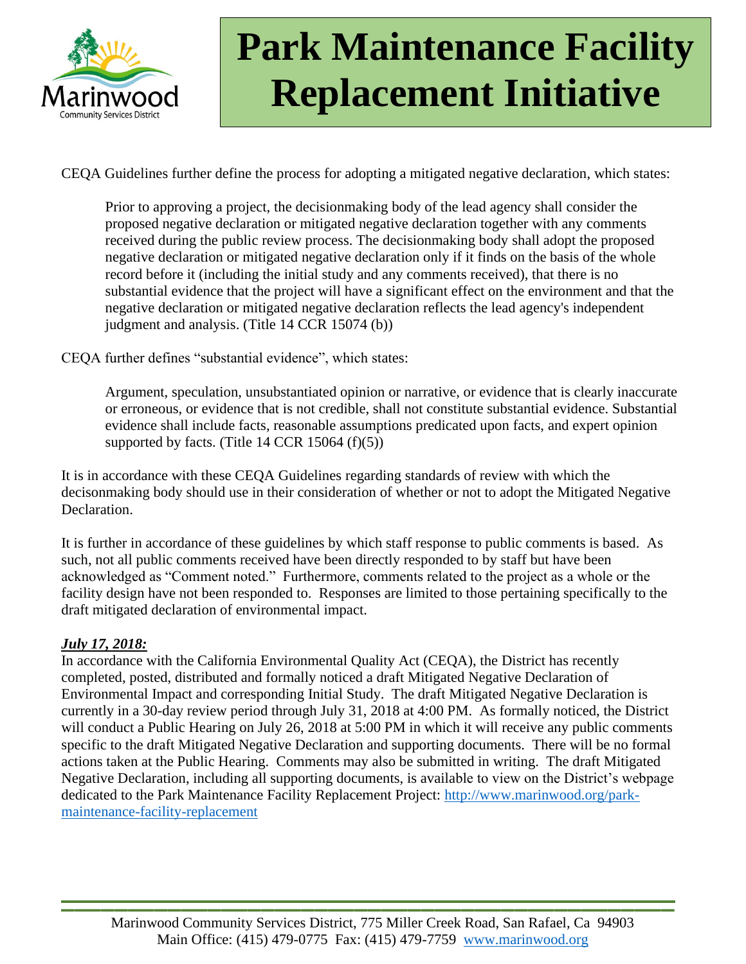

CEQA Guidelines further define the process for adopting a mitigated negative declaration, which states:

Prior to approving a project, the decisionmaking body of the lead agency shall consider the proposed negative declaration or mitigated negative declaration together with any comments received during the public review process. The decisionmaking body shall adopt the proposed negative declaration or mitigated negative declaration only if it finds on the basis of the whole record before it (including the initial study and any comments received), that there is no substantial evidence that the project will have a significant effect on the environment and that the negative declaration or mitigated negative declaration reflects the lead agency's independent judgment and analysis. (Title 14 CCR 15074 (b))

CEQA further defines "substantial evidence", which states:

Argument, speculation, unsubstantiated opinion or narrative, or evidence that is clearly inaccurate or erroneous, or evidence that is not credible, shall not constitute substantial evidence. Substantial evidence shall include facts, reasonable assumptions predicated upon facts, and expert opinion supported by facts. (Title 14 CCR 15064  $(f)(5)$ )

It is in accordance with these CEQA Guidelines regarding standards of review with which the decisonmaking body should use in their consideration of whether or not to adopt the Mitigated Negative Declaration.

It is further in accordance of these guidelines by which staff response to public comments is based. As such, not all public comments received have been directly responded to by staff but have been acknowledged as "Comment noted." Furthermore, comments related to the project as a whole or the facility design have not been responded to. Responses are limited to those pertaining specifically to the draft mitigated declaration of environmental impact.

## *July 17, 2018:*

In accordance with the California Environmental Quality Act (CEQA), the District has recently completed, posted, distributed and formally noticed a draft Mitigated Negative Declaration of Environmental Impact and corresponding Initial Study. The draft Mitigated Negative Declaration is currently in a 30-day review period through July 31, 2018 at 4:00 PM. As formally noticed, the District will conduct a Public Hearing on July 26, 2018 at 5:00 PM in which it will receive any public comments specific to the draft Mitigated Negative Declaration and supporting documents. There will be no formal actions taken at the Public Hearing. Comments may also be submitted in writing. The draft Mitigated Negative Declaration, including all supporting documents, is available to view on the District's webpage dedicated to the Park Maintenance Facility Replacement Project: [http://www.marinwood.org/park](http://www.marinwood.org/park-maintenance-facility-replacement)[maintenance-facility-replacement](http://www.marinwood.org/park-maintenance-facility-replacement)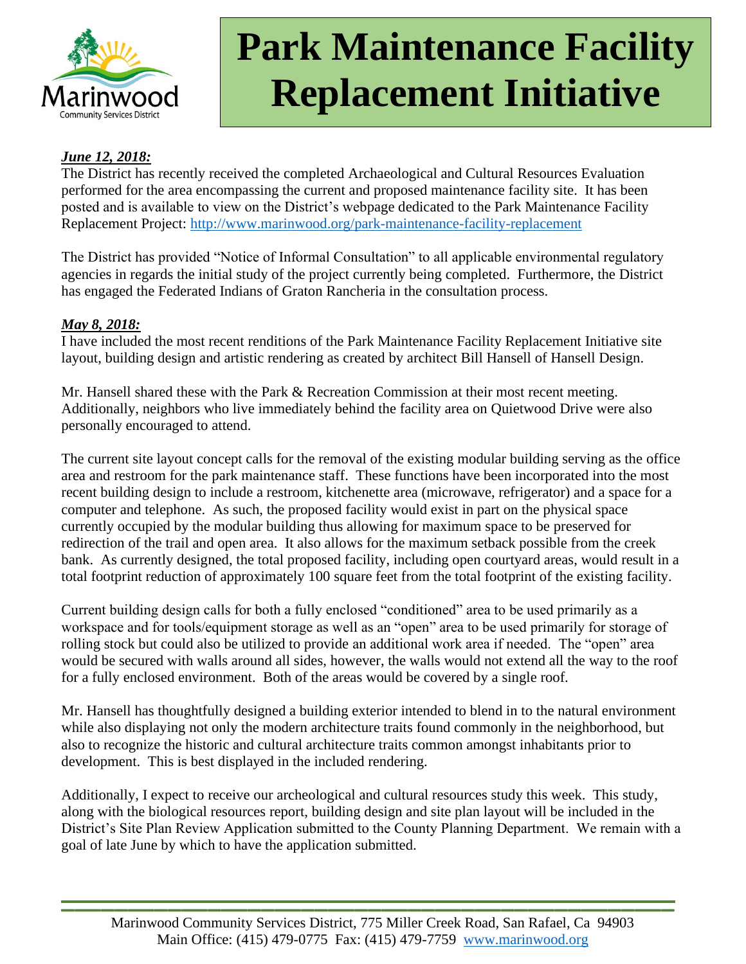

### *June 12, 2018:*

The District has recently received the completed Archaeological and Cultural Resources Evaluation performed for the area encompassing the current and proposed maintenance facility site. It has been posted and is available to view on the District's webpage dedicated to the Park Maintenance Facility Replacement Project:<http://www.marinwood.org/park-maintenance-facility-replacement>

The District has provided "Notice of Informal Consultation" to all applicable environmental regulatory agencies in regards the initial study of the project currently being completed. Furthermore, the District has engaged the Federated Indians of Graton Rancheria in the consultation process.

### *May 8, 2018:*

I have included the most recent renditions of the Park Maintenance Facility Replacement Initiative site layout, building design and artistic rendering as created by architect Bill Hansell of Hansell Design.

Mr. Hansell shared these with the Park & Recreation Commission at their most recent meeting. Additionally, neighbors who live immediately behind the facility area on Quietwood Drive were also personally encouraged to attend.

The current site layout concept calls for the removal of the existing modular building serving as the office area and restroom for the park maintenance staff. These functions have been incorporated into the most recent building design to include a restroom, kitchenette area (microwave, refrigerator) and a space for a computer and telephone. As such, the proposed facility would exist in part on the physical space currently occupied by the modular building thus allowing for maximum space to be preserved for redirection of the trail and open area. It also allows for the maximum setback possible from the creek bank. As currently designed, the total proposed facility, including open courtyard areas, would result in a total footprint reduction of approximately 100 square feet from the total footprint of the existing facility.

Current building design calls for both a fully enclosed "conditioned" area to be used primarily as a workspace and for tools/equipment storage as well as an "open" area to be used primarily for storage of rolling stock but could also be utilized to provide an additional work area if needed. The "open" area would be secured with walls around all sides, however, the walls would not extend all the way to the roof for a fully enclosed environment. Both of the areas would be covered by a single roof.

Mr. Hansell has thoughtfully designed a building exterior intended to blend in to the natural environment while also displaying not only the modern architecture traits found commonly in the neighborhood, but also to recognize the historic and cultural architecture traits common amongst inhabitants prior to development. This is best displayed in the included rendering.

Additionally, I expect to receive our archeological and cultural resources study this week. This study, along with the biological resources report, building design and site plan layout will be included in the District's Site Plan Review Application submitted to the County Planning Department. We remain with a goal of late June by which to have the application submitted.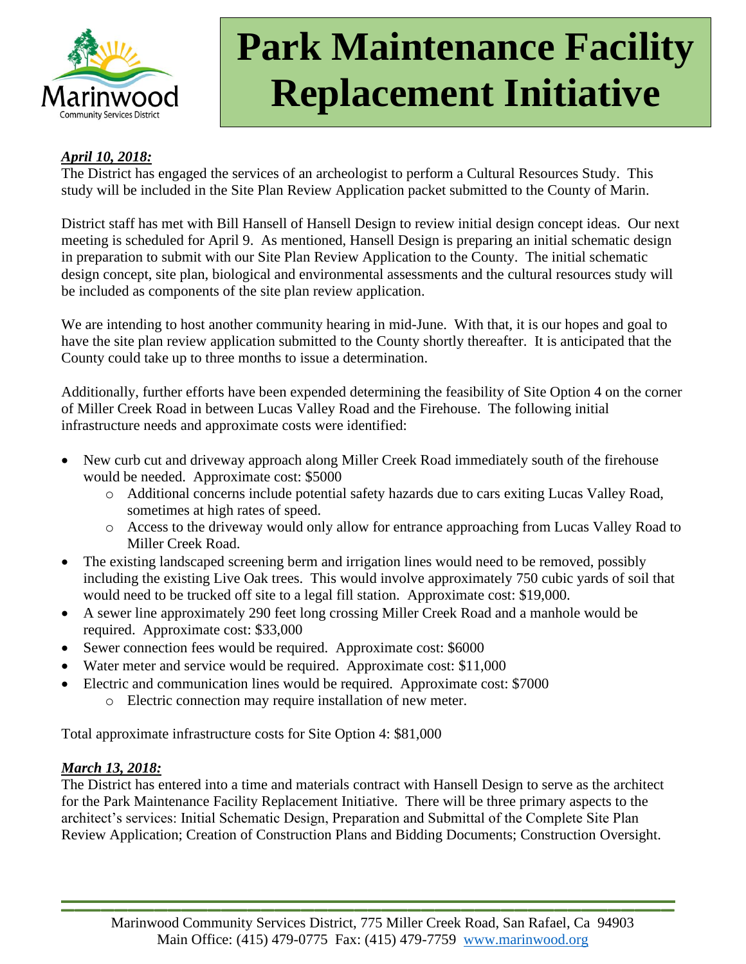

### *April 10, 2018:*

The District has engaged the services of an archeologist to perform a Cultural Resources Study. This study will be included in the Site Plan Review Application packet submitted to the County of Marin.

District staff has met with Bill Hansell of Hansell Design to review initial design concept ideas. Our next meeting is scheduled for April 9. As mentioned, Hansell Design is preparing an initial schematic design in preparation to submit with our Site Plan Review Application to the County. The initial schematic design concept, site plan, biological and environmental assessments and the cultural resources study will be included as components of the site plan review application.

We are intending to host another community hearing in mid-June. With that, it is our hopes and goal to have the site plan review application submitted to the County shortly thereafter. It is anticipated that the County could take up to three months to issue a determination.

Additionally, further efforts have been expended determining the feasibility of Site Option 4 on the corner of Miller Creek Road in between Lucas Valley Road and the Firehouse. The following initial infrastructure needs and approximate costs were identified:

- New curb cut and driveway approach along Miller Creek Road immediately south of the firehouse would be needed. Approximate cost: \$5000
	- o Additional concerns include potential safety hazards due to cars exiting Lucas Valley Road, sometimes at high rates of speed.
	- o Access to the driveway would only allow for entrance approaching from Lucas Valley Road to Miller Creek Road.
- The existing landscaped screening berm and irrigation lines would need to be removed, possibly including the existing Live Oak trees. This would involve approximately 750 cubic yards of soil that would need to be trucked off site to a legal fill station. Approximate cost: \$19,000.
- A sewer line approximately 290 feet long crossing Miller Creek Road and a manhole would be required. Approximate cost: \$33,000
- Sewer connection fees would be required. Approximate cost: \$6000
- Water meter and service would be required. Approximate cost: \$11,000
- Electric and communication lines would be required. Approximate cost: \$7000
	- o Electric connection may require installation of new meter.

Total approximate infrastructure costs for Site Option 4: \$81,000

### *March 13, 2018:*

The District has entered into a time and materials contract with Hansell Design to serve as the architect for the Park Maintenance Facility Replacement Initiative. There will be three primary aspects to the architect's services: Initial Schematic Design, Preparation and Submittal of the Complete Site Plan Review Application; Creation of Construction Plans and Bidding Documents; Construction Oversight.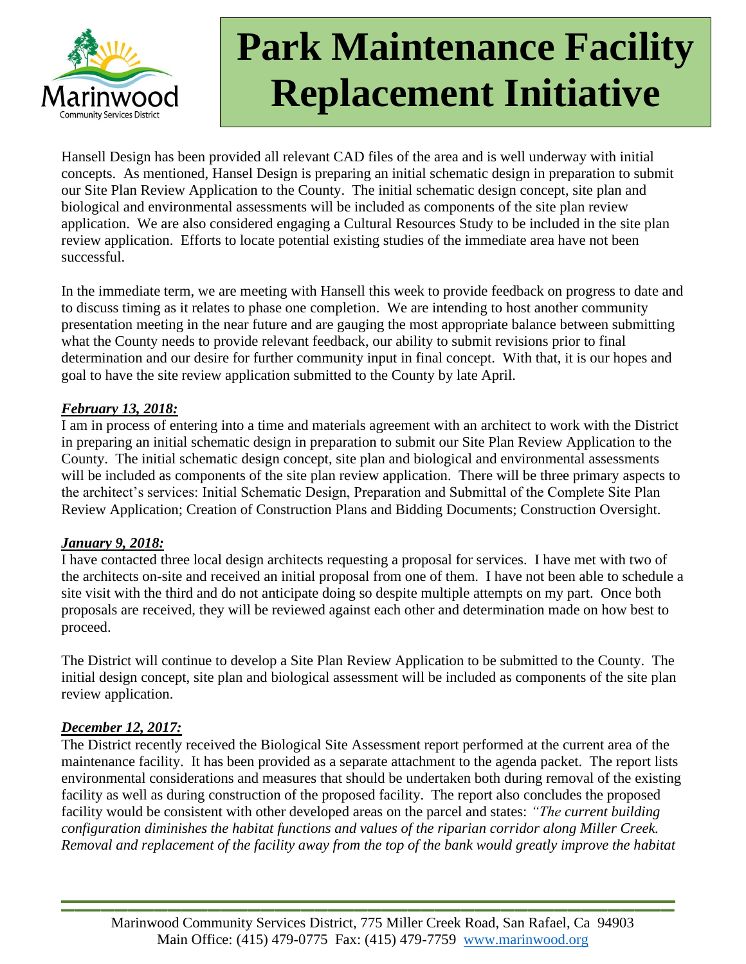

Hansell Design has been provided all relevant CAD files of the area and is well underway with initial concepts. As mentioned, Hansel Design is preparing an initial schematic design in preparation to submit our Site Plan Review Application to the County. The initial schematic design concept, site plan and biological and environmental assessments will be included as components of the site plan review application. We are also considered engaging a Cultural Resources Study to be included in the site plan review application. Efforts to locate potential existing studies of the immediate area have not been successful.

In the immediate term, we are meeting with Hansell this week to provide feedback on progress to date and to discuss timing as it relates to phase one completion. We are intending to host another community presentation meeting in the near future and are gauging the most appropriate balance between submitting what the County needs to provide relevant feedback, our ability to submit revisions prior to final determination and our desire for further community input in final concept. With that, it is our hopes and goal to have the site review application submitted to the County by late April.

### *February 13, 2018:*

I am in process of entering into a time and materials agreement with an architect to work with the District in preparing an initial schematic design in preparation to submit our Site Plan Review Application to the County. The initial schematic design concept, site plan and biological and environmental assessments will be included as components of the site plan review application. There will be three primary aspects to the architect's services: Initial Schematic Design, Preparation and Submittal of the Complete Site Plan Review Application; Creation of Construction Plans and Bidding Documents; Construction Oversight.

### *January 9, 2018:*

I have contacted three local design architects requesting a proposal for services. I have met with two of the architects on-site and received an initial proposal from one of them. I have not been able to schedule a site visit with the third and do not anticipate doing so despite multiple attempts on my part. Once both proposals are received, they will be reviewed against each other and determination made on how best to proceed.

The District will continue to develop a Site Plan Review Application to be submitted to the County. The initial design concept, site plan and biological assessment will be included as components of the site plan review application.

### *December 12, 2017:*

The District recently received the Biological Site Assessment report performed at the current area of the maintenance facility. It has been provided as a separate attachment to the agenda packet. The report lists environmental considerations and measures that should be undertaken both during removal of the existing facility as well as during construction of the proposed facility. The report also concludes the proposed facility would be consistent with other developed areas on the parcel and states: *"The current building configuration diminishes the habitat functions and values of the riparian corridor along Miller Creek. Removal and replacement of the facility away from the top of the bank would greatly improve the habitat*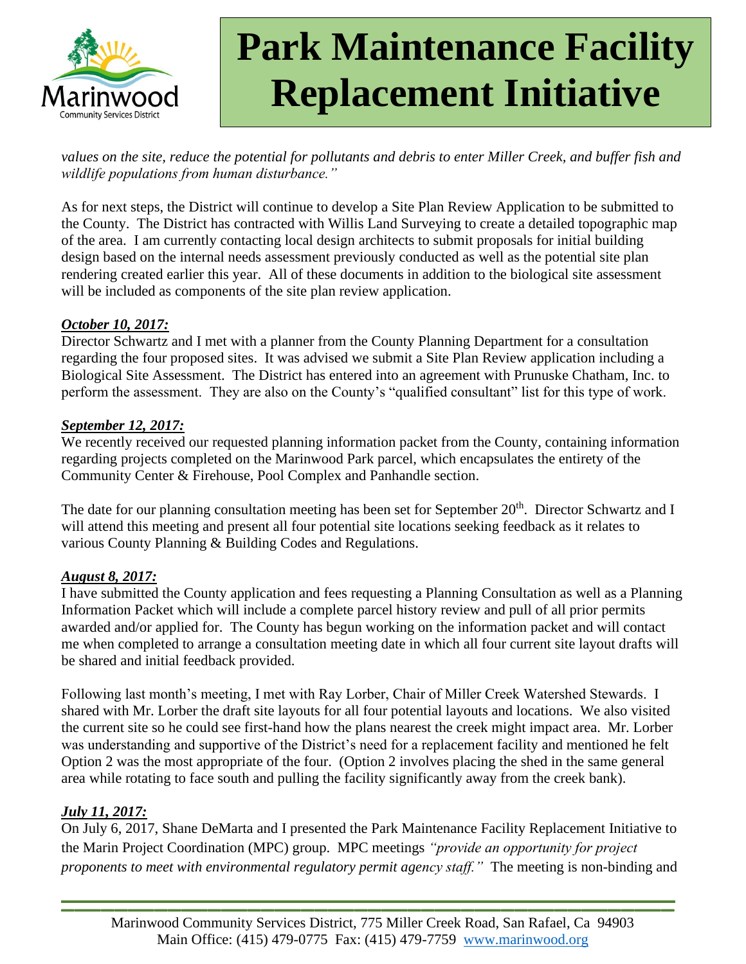

*values on the site, reduce the potential for pollutants and debris to enter Miller Creek, and buffer fish and wildlife populations from human disturbance."*

As for next steps, the District will continue to develop a Site Plan Review Application to be submitted to the County. The District has contracted with Willis Land Surveying to create a detailed topographic map of the area. I am currently contacting local design architects to submit proposals for initial building design based on the internal needs assessment previously conducted as well as the potential site plan rendering created earlier this year. All of these documents in addition to the biological site assessment will be included as components of the site plan review application.

### *October 10, 2017:*

Director Schwartz and I met with a planner from the County Planning Department for a consultation regarding the four proposed sites. It was advised we submit a Site Plan Review application including a Biological Site Assessment. The District has entered into an agreement with Prunuske Chatham, Inc. to perform the assessment. They are also on the County's "qualified consultant" list for this type of work.

#### *September 12, 2017:*

We recently received our requested planning information packet from the County, containing information regarding projects completed on the Marinwood Park parcel, which encapsulates the entirety of the Community Center & Firehouse, Pool Complex and Panhandle section.

The date for our planning consultation meeting has been set for September  $20<sup>th</sup>$ . Director Schwartz and I will attend this meeting and present all four potential site locations seeking feedback as it relates to various County Planning & Building Codes and Regulations.

### *August 8, 2017:*

I have submitted the County application and fees requesting a Planning Consultation as well as a Planning Information Packet which will include a complete parcel history review and pull of all prior permits awarded and/or applied for. The County has begun working on the information packet and will contact me when completed to arrange a consultation meeting date in which all four current site layout drafts will be shared and initial feedback provided.

Following last month's meeting, I met with Ray Lorber, Chair of Miller Creek Watershed Stewards. I shared with Mr. Lorber the draft site layouts for all four potential layouts and locations. We also visited the current site so he could see first-hand how the plans nearest the creek might impact area. Mr. Lorber was understanding and supportive of the District's need for a replacement facility and mentioned he felt Option 2 was the most appropriate of the four. (Option 2 involves placing the shed in the same general area while rotating to face south and pulling the facility significantly away from the creek bank).

### *July 11, 2017:*

On July 6, 2017, Shane DeMarta and I presented the Park Maintenance Facility Replacement Initiative to the Marin Project Coordination (MPC) group. MPC meetings *"provide an opportunity for project proponents to meet with environmental regulatory permit agency staff."* The meeting is non-binding and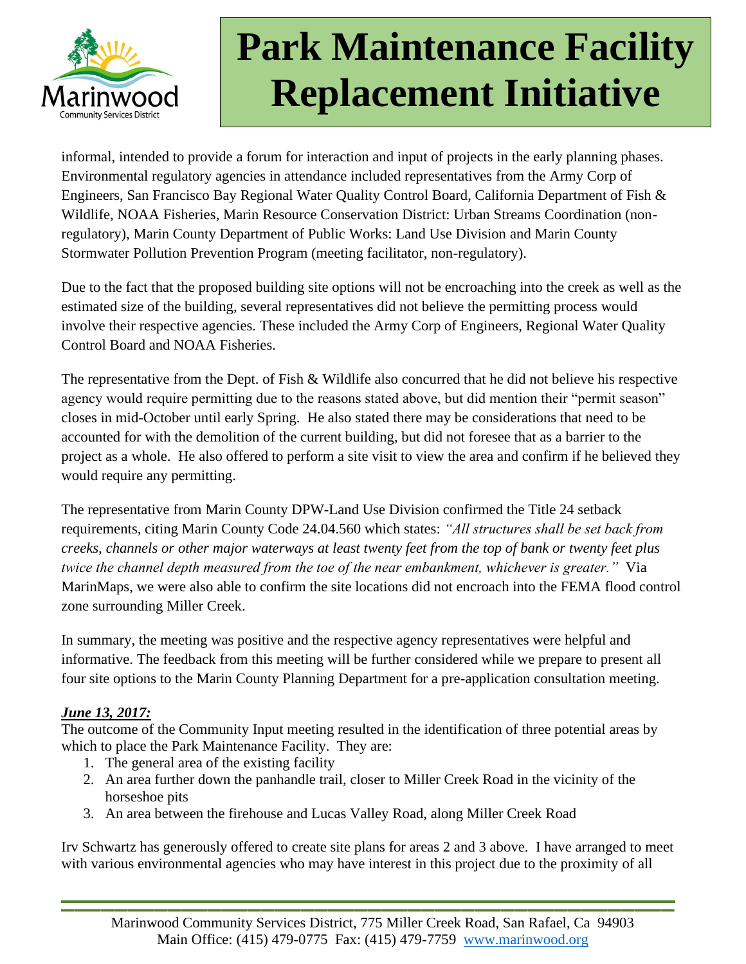

informal, intended to provide a forum for interaction and input of projects in the early planning phases. Environmental regulatory agencies in attendance included representatives from the Army Corp of Engineers, San Francisco Bay Regional Water Quality Control Board, California Department of Fish & Wildlife, NOAA Fisheries, Marin Resource Conservation District: Urban Streams Coordination (nonregulatory), Marin County Department of Public Works: Land Use Division and Marin County Stormwater Pollution Prevention Program (meeting facilitator, non-regulatory).

Due to the fact that the proposed building site options will not be encroaching into the creek as well as the estimated size of the building, several representatives did not believe the permitting process would involve their respective agencies. These included the Army Corp of Engineers, Regional Water Quality Control Board and NOAA Fisheries.

The representative from the Dept. of Fish & Wildlife also concurred that he did not believe his respective agency would require permitting due to the reasons stated above, but did mention their "permit season" closes in mid-October until early Spring. He also stated there may be considerations that need to be accounted for with the demolition of the current building, but did not foresee that as a barrier to the project as a whole. He also offered to perform a site visit to view the area and confirm if he believed they would require any permitting.

The representative from Marin County DPW-Land Use Division confirmed the Title 24 setback requirements, citing Marin County Code 24.04.560 which states: *"All structures shall be set back from creeks, channels or other major waterways at least twenty feet from the top of bank or twenty feet plus twice the channel depth measured from the toe of the near embankment, whichever is greater."* Via MarinMaps, we were also able to confirm the site locations did not encroach into the FEMA flood control zone surrounding Miller Creek.

In summary, the meeting was positive and the respective agency representatives were helpful and informative. The feedback from this meeting will be further considered while we prepare to present all four site options to the Marin County Planning Department for a pre-application consultation meeting.

## *June 13, 2017:*

The outcome of the Community Input meeting resulted in the identification of three potential areas by which to place the Park Maintenance Facility. They are:

- 1. The general area of the existing facility
- 2. An area further down the panhandle trail, closer to Miller Creek Road in the vicinity of the horseshoe pits
- 3. An area between the firehouse and Lucas Valley Road, along Miller Creek Road

Irv Schwartz has generously offered to create site plans for areas 2 and 3 above. I have arranged to meet with various environmental agencies who may have interest in this project due to the proximity of all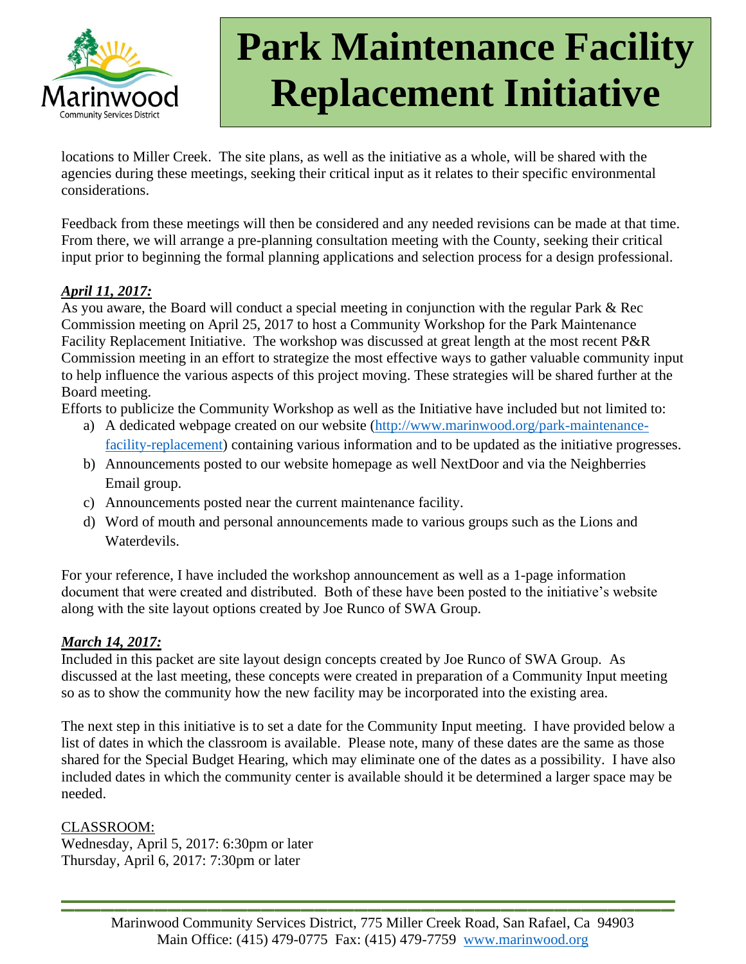

locations to Miller Creek. The site plans, as well as the initiative as a whole, will be shared with the agencies during these meetings, seeking their critical input as it relates to their specific environmental considerations.

Feedback from these meetings will then be considered and any needed revisions can be made at that time. From there, we will arrange a pre-planning consultation meeting with the County, seeking their critical input prior to beginning the formal planning applications and selection process for a design professional.

### *April 11, 2017:*

As you aware, the Board will conduct a special meeting in conjunction with the regular Park & Rec Commission meeting on April 25, 2017 to host a Community Workshop for the Park Maintenance Facility Replacement Initiative. The workshop was discussed at great length at the most recent P&R Commission meeting in an effort to strategize the most effective ways to gather valuable community input to help influence the various aspects of this project moving. These strategies will be shared further at the Board meeting.

Efforts to publicize the Community Workshop as well as the Initiative have included but not limited to:

- a) A dedicated webpage created on our website [\(http://www.marinwood.org/park-maintenance](http://www.marinwood.org/park-maintenance-facility-replacement)[facility-replacement\)](http://www.marinwood.org/park-maintenance-facility-replacement) containing various information and to be updated as the initiative progresses.
- b) Announcements posted to our website homepage as well NextDoor and via the Neighberries Email group.
- c) Announcements posted near the current maintenance facility.
- d) Word of mouth and personal announcements made to various groups such as the Lions and Waterdevils.

For your reference, I have included the workshop announcement as well as a 1-page information document that were created and distributed. Both of these have been posted to the initiative's website along with the site layout options created by Joe Runco of SWA Group.

## *March 14, 2017:*

Included in this packet are site layout design concepts created by Joe Runco of SWA Group. As discussed at the last meeting, these concepts were created in preparation of a Community Input meeting so as to show the community how the new facility may be incorporated into the existing area.

The next step in this initiative is to set a date for the Community Input meeting. I have provided below a list of dates in which the classroom is available. Please note, many of these dates are the same as those shared for the Special Budget Hearing, which may eliminate one of the dates as a possibility. I have also included dates in which the community center is available should it be determined a larger space may be needed.

### CLASSROOM:

Wednesday, April 5, 2017: 6:30pm or later Thursday, April 6, 2017: 7:30pm or later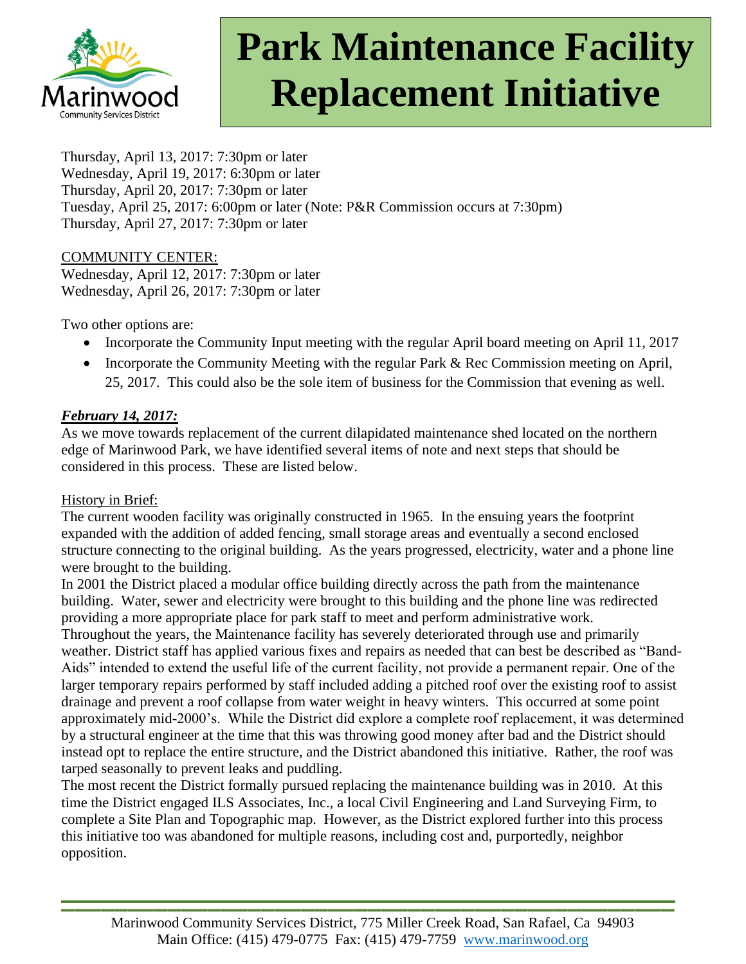

Thursday, April 13, 2017: 7:30pm or later Wednesday, April 19, 2017: 6:30pm or later Thursday, April 20, 2017: 7:30pm or later Tuesday, April 25, 2017: 6:00pm or later (Note: P&R Commission occurs at 7:30pm) Thursday, April 27, 2017: 7:30pm or later

#### COMMUNITY CENTER:

Wednesday, April 12, 2017: 7:30pm or later Wednesday, April 26, 2017: 7:30pm or later

Two other options are:

- Incorporate the Community Input meeting with the regular April board meeting on April 11, 2017
- Incorporate the Community Meeting with the regular Park & Rec Commission meeting on April, 25, 2017. This could also be the sole item of business for the Commission that evening as well.

### *February 14, 2017:*

As we move towards replacement of the current dilapidated maintenance shed located on the northern edge of Marinwood Park, we have identified several items of note and next steps that should be considered in this process. These are listed below.

### History in Brief:

The current wooden facility was originally constructed in 1965. In the ensuing years the footprint expanded with the addition of added fencing, small storage areas and eventually a second enclosed structure connecting to the original building. As the years progressed, electricity, water and a phone line were brought to the building.

In 2001 the District placed a modular office building directly across the path from the maintenance building. Water, sewer and electricity were brought to this building and the phone line was redirected providing a more appropriate place for park staff to meet and perform administrative work. Throughout the years, the Maintenance facility has severely deteriorated through use and primarily weather. District staff has applied various fixes and repairs as needed that can best be described as "Band-Aids" intended to extend the useful life of the current facility, not provide a permanent repair. One of the larger temporary repairs performed by staff included adding a pitched roof over the existing roof to assist drainage and prevent a roof collapse from water weight in heavy winters. This occurred at some point approximately mid-2000's. While the District did explore a complete roof replacement, it was determined by a structural engineer at the time that this was throwing good money after bad and the District should instead opt to replace the entire structure, and the District abandoned this initiative. Rather, the roof was tarped seasonally to prevent leaks and puddling.

The most recent the District formally pursued replacing the maintenance building was in 2010. At this time the District engaged ILS Associates, Inc., a local Civil Engineering and Land Surveying Firm, to complete a Site Plan and Topographic map. However, as the District explored further into this process this initiative too was abandoned for multiple reasons, including cost and, purportedly, neighbor opposition.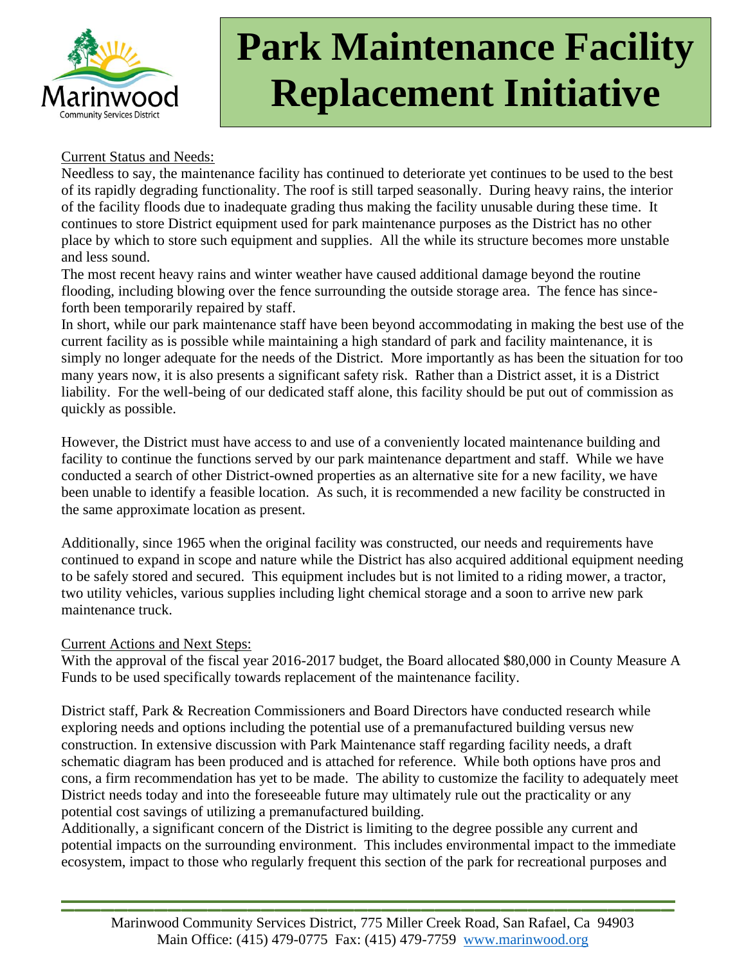

#### Current Status and Needs:

Needless to say, the maintenance facility has continued to deteriorate yet continues to be used to the best of its rapidly degrading functionality. The roof is still tarped seasonally. During heavy rains, the interior of the facility floods due to inadequate grading thus making the facility unusable during these time. It continues to store District equipment used for park maintenance purposes as the District has no other place by which to store such equipment and supplies. All the while its structure becomes more unstable and less sound.

The most recent heavy rains and winter weather have caused additional damage beyond the routine flooding, including blowing over the fence surrounding the outside storage area. The fence has sinceforth been temporarily repaired by staff.

In short, while our park maintenance staff have been beyond accommodating in making the best use of the current facility as is possible while maintaining a high standard of park and facility maintenance, it is simply no longer adequate for the needs of the District. More importantly as has been the situation for too many years now, it is also presents a significant safety risk. Rather than a District asset, it is a District liability. For the well-being of our dedicated staff alone, this facility should be put out of commission as quickly as possible.

However, the District must have access to and use of a conveniently located maintenance building and facility to continue the functions served by our park maintenance department and staff. While we have conducted a search of other District-owned properties as an alternative site for a new facility, we have been unable to identify a feasible location. As such, it is recommended a new facility be constructed in the same approximate location as present.

Additionally, since 1965 when the original facility was constructed, our needs and requirements have continued to expand in scope and nature while the District has also acquired additional equipment needing to be safely stored and secured. This equipment includes but is not limited to a riding mower, a tractor, two utility vehicles, various supplies including light chemical storage and a soon to arrive new park maintenance truck.

#### Current Actions and Next Steps:

With the approval of the fiscal year 2016-2017 budget, the Board allocated \$80,000 in County Measure A Funds to be used specifically towards replacement of the maintenance facility.

District staff, Park & Recreation Commissioners and Board Directors have conducted research while exploring needs and options including the potential use of a premanufactured building versus new construction. In extensive discussion with Park Maintenance staff regarding facility needs, a draft schematic diagram has been produced and is attached for reference. While both options have pros and cons, a firm recommendation has yet to be made. The ability to customize the facility to adequately meet District needs today and into the foreseeable future may ultimately rule out the practicality or any potential cost savings of utilizing a premanufactured building.

Additionally, a significant concern of the District is limiting to the degree possible any current and potential impacts on the surrounding environment. This includes environmental impact to the immediate ecosystem, impact to those who regularly frequent this section of the park for recreational purposes and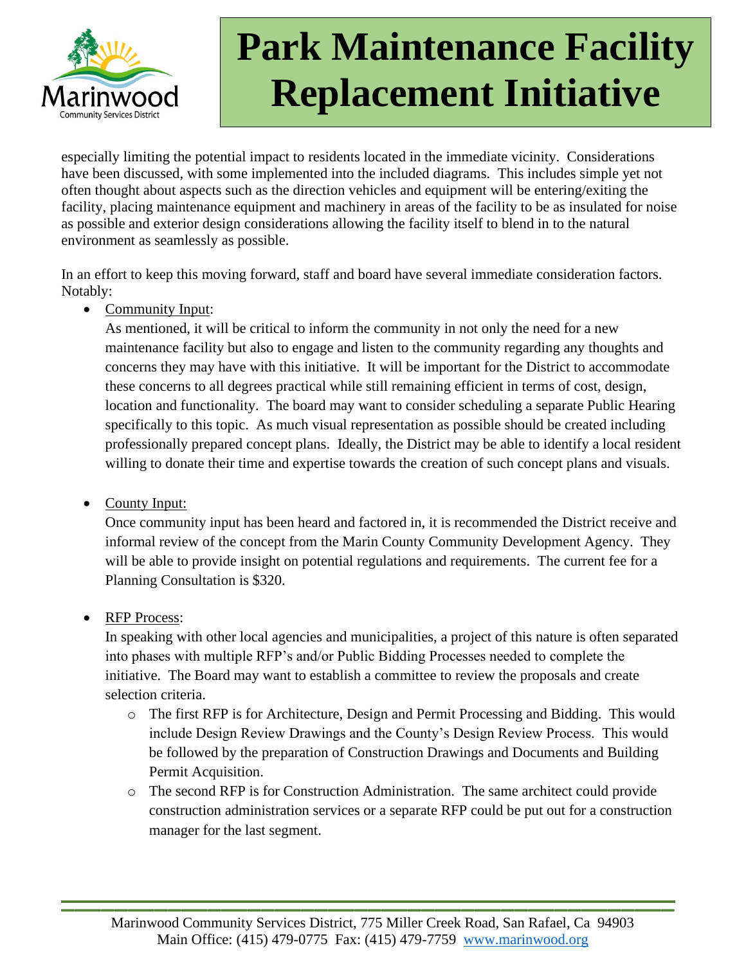

especially limiting the potential impact to residents located in the immediate vicinity. Considerations have been discussed, with some implemented into the included diagrams. This includes simple yet not often thought about aspects such as the direction vehicles and equipment will be entering/exiting the facility, placing maintenance equipment and machinery in areas of the facility to be as insulated for noise as possible and exterior design considerations allowing the facility itself to blend in to the natural environment as seamlessly as possible.

In an effort to keep this moving forward, staff and board have several immediate consideration factors. Notably:

• Community Input:

As mentioned, it will be critical to inform the community in not only the need for a new maintenance facility but also to engage and listen to the community regarding any thoughts and concerns they may have with this initiative. It will be important for the District to accommodate these concerns to all degrees practical while still remaining efficient in terms of cost, design, location and functionality. The board may want to consider scheduling a separate Public Hearing specifically to this topic. As much visual representation as possible should be created including professionally prepared concept plans. Ideally, the District may be able to identify a local resident willing to donate their time and expertise towards the creation of such concept plans and visuals.

• County Input:

Once community input has been heard and factored in, it is recommended the District receive and informal review of the concept from the Marin County Community Development Agency. They will be able to provide insight on potential regulations and requirements. The current fee for a Planning Consultation is \$320.

• RFP Process:

In speaking with other local agencies and municipalities, a project of this nature is often separated into phases with multiple RFP's and/or Public Bidding Processes needed to complete the initiative. The Board may want to establish a committee to review the proposals and create selection criteria.

- o The first RFP is for Architecture, Design and Permit Processing and Bidding. This would include Design Review Drawings and the County's Design Review Process. This would be followed by the preparation of Construction Drawings and Documents and Building Permit Acquisition.
- o The second RFP is for Construction Administration. The same architect could provide construction administration services or a separate RFP could be put out for a construction manager for the last segment.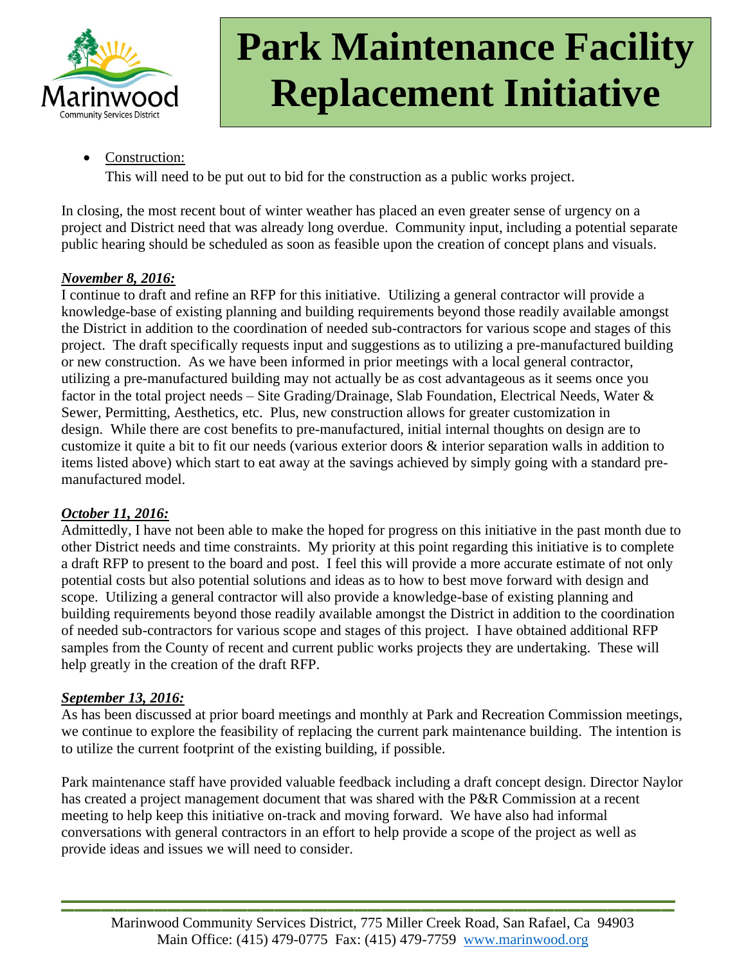

Construction:

This will need to be put out to bid for the construction as a public works project.

In closing, the most recent bout of winter weather has placed an even greater sense of urgency on a project and District need that was already long overdue. Community input, including a potential separate public hearing should be scheduled as soon as feasible upon the creation of concept plans and visuals.

## *November 8, 2016:*

I continue to draft and refine an RFP for this initiative. Utilizing a general contractor will provide a knowledge-base of existing planning and building requirements beyond those readily available amongst the District in addition to the coordination of needed sub-contractors for various scope and stages of this project. The draft specifically requests input and suggestions as to utilizing a pre-manufactured building or new construction. As we have been informed in prior meetings with a local general contractor, utilizing a pre-manufactured building may not actually be as cost advantageous as it seems once you factor in the total project needs – Site Grading/Drainage, Slab Foundation, Electrical Needs, Water & Sewer, Permitting, Aesthetics, etc. Plus, new construction allows for greater customization in design. While there are cost benefits to pre-manufactured, initial internal thoughts on design are to customize it quite a bit to fit our needs (various exterior doors & interior separation walls in addition to items listed above) which start to eat away at the savings achieved by simply going with a standard premanufactured model.

## *October 11, 2016:*

Admittedly, I have not been able to make the hoped for progress on this initiative in the past month due to other District needs and time constraints. My priority at this point regarding this initiative is to complete a draft RFP to present to the board and post. I feel this will provide a more accurate estimate of not only potential costs but also potential solutions and ideas as to how to best move forward with design and scope. Utilizing a general contractor will also provide a knowledge-base of existing planning and building requirements beyond those readily available amongst the District in addition to the coordination of needed sub-contractors for various scope and stages of this project. I have obtained additional RFP samples from the County of recent and current public works projects they are undertaking. These will help greatly in the creation of the draft RFP.

### *September 13, 2016:*

As has been discussed at prior board meetings and monthly at Park and Recreation Commission meetings, we continue to explore the feasibility of replacing the current park maintenance building. The intention is to utilize the current footprint of the existing building, if possible.

Park maintenance staff have provided valuable feedback including a draft concept design. Director Naylor has created a project management document that was shared with the P&R Commission at a recent meeting to help keep this initiative on-track and moving forward. We have also had informal conversations with general contractors in an effort to help provide a scope of the project as well as provide ideas and issues we will need to consider.